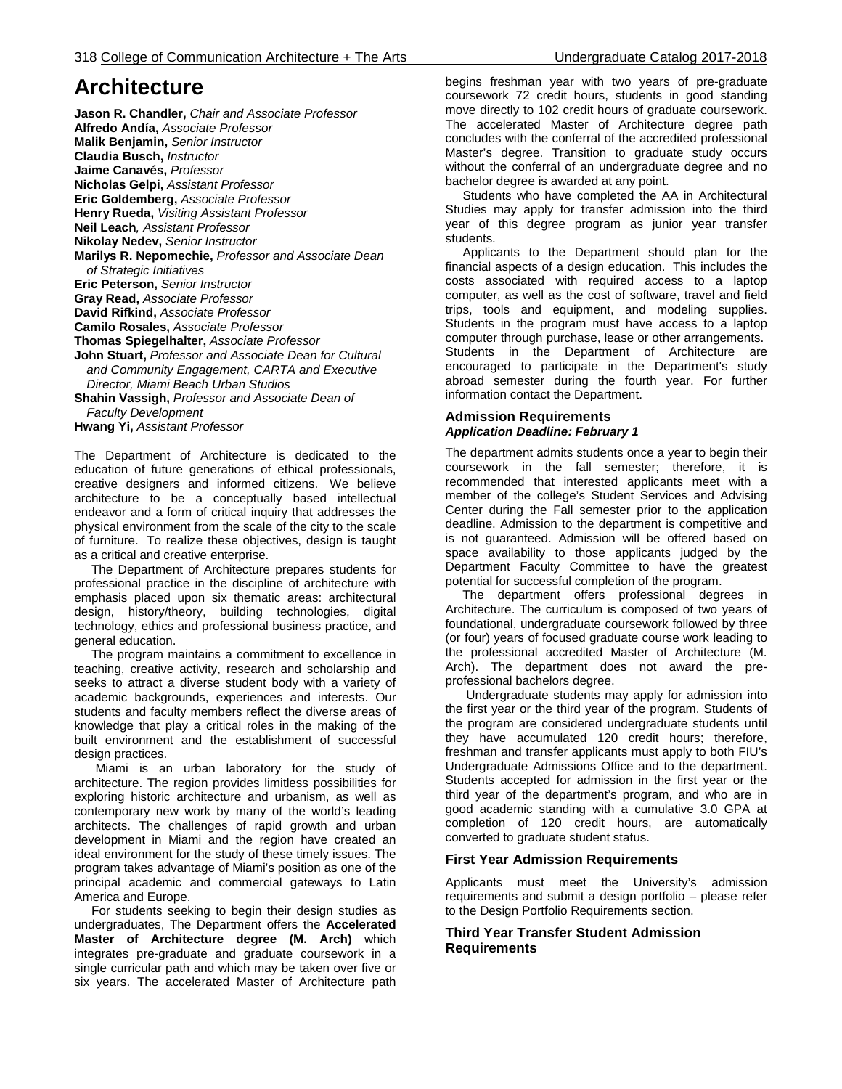# **Architecture**

**Jason R. Chandler,** *Chair and Associate Professor* **Alfredo Andía,** *Associate Professor* **Malik Benjamin,** *Senior Instructor* **Claudia Busch,** *Instructor* **Jaime Canavés,** *Professor* **Nicholas Gelpi,** *Assistant Professor* **Eric Goldemberg,** *Associate Professor* **Henry Rueda,** *Visiting Assistant Professor* **Neil Leach***, Assistant Professor* **Nikolay Nedev,** *Senior Instructor* **Marilys R. Nepomechie,** *Professor and Associate Dean of Strategic Initiatives* **Eric Peterson,** *Senior Instructor* **Gray Read,** *Associate Professor* **David Rifkind,** *Associate Professor* **Camilo Rosales,** *Associate Professor* **Thomas Spiegelhalter,** *Associate Professor* **John Stuart,** *Professor and Associate Dean for Cultural and Community Engagement, CARTA and Executive Director, Miami Beach Urban Studios* **Shahin Vassigh,** *Professor and Associate Dean of Faculty Development* **Hwang Yi,** *Assistant Professor*

The Department of Architecture is dedicated to the education of future generations of ethical professionals, creative designers and informed citizens. We believe architecture to be a conceptually based intellectual endeavor and a form of critical inquiry that addresses the physical environment from the scale of the city to the scale of furniture. To realize these objectives, design is taught as a critical and creative enterprise.

 The Department of Architecture prepares students for professional practice in the discipline of architecture with emphasis placed upon six thematic areas: architectural design, history/theory, building technologies, digital technology, ethics and professional business practice, and general education.

 The program maintains a commitment to excellence in teaching, creative activity, research and scholarship and seeks to attract a diverse student body with a variety of academic backgrounds, experiences and interests. Our students and faculty members reflect the diverse areas of knowledge that play a critical roles in the making of the built environment and the establishment of successful design practices.

 Miami is an urban laboratory for the study of architecture. The region provides limitless possibilities for exploring historic architecture and urbanism, as well as contemporary new work by many of the world's leading architects. The challenges of rapid growth and urban development in Miami and the region have created an ideal environment for the study of these timely issues. The program takes advantage of Miami's position as one of the principal academic and commercial gateways to Latin America and Europe.

 For students seeking to begin their design studies as undergraduates, The Department offers the **Accelerated Master of Architecture degree (M. Arch)** which integrates pre-graduate and graduate coursework in a single curricular path and which may be taken over five or six years. The accelerated Master of Architecture path

begins freshman year with two years of pre-graduate coursework 72 credit hours, students in good standing move directly to 102 credit hours of graduate coursework. The accelerated Master of Architecture degree path concludes with the conferral of the accredited professional Master's degree. Transition to graduate study occurs without the conferral of an undergraduate degree and no bachelor degree is awarded at any point.

 Students who have completed the AA in Architectural Studies may apply for transfer admission into the third year of this degree program as junior year transfer students.

 Applicants to the Department should plan for the financial aspects of a design education. This includes the costs associated with required access to a laptop computer, as well as the cost of software, travel and field trips, tools and equipment, and modeling supplies. Students in the program must have access to a laptop computer through purchase, lease or other arrangements. Students in the Department of Architecture are encouraged to participate in the Department's study abroad semester during the fourth year. For further information contact the Department.

### **Admission Requirements** *Application Deadline: February 1*

The department admits students once a year to begin their coursework in the fall semester; therefore, it is recommended that interested applicants meet with a member of the college's Student Services and Advising Center during the Fall semester prior to the application deadline. Admission to the department is competitive and is not guaranteed. Admission will be offered based on space availability to those applicants judged by the Department Faculty Committee to have the greatest potential for successful completion of the program.

 The department offers professional degrees in Architecture. The curriculum is composed of two years of foundational, undergraduate coursework followed by three (or four) years of focused graduate course work leading to the professional accredited Master of Architecture (M. Arch). The department does not award the preprofessional bachelors degree.

 Undergraduate students may apply for admission into the first year or the third year of the program. Students of the program are considered undergraduate students until they have accumulated 120 credit hours; therefore, freshman and transfer applicants must apply to both FIU's Undergraduate Admissions Office and to the department. Students accepted for admission in the first year or the third year of the department's program, and who are in good academic standing with a cumulative 3.0 GPA at completion of 120 credit hours, are automatically converted to graduate student status.

### **First Year Admission Requirements**

Applicants must meet the University's admission requirements and submit a design portfolio – please refer to the Design Portfolio Requirements section.

#### **Third Year Transfer Student Admission Requirements**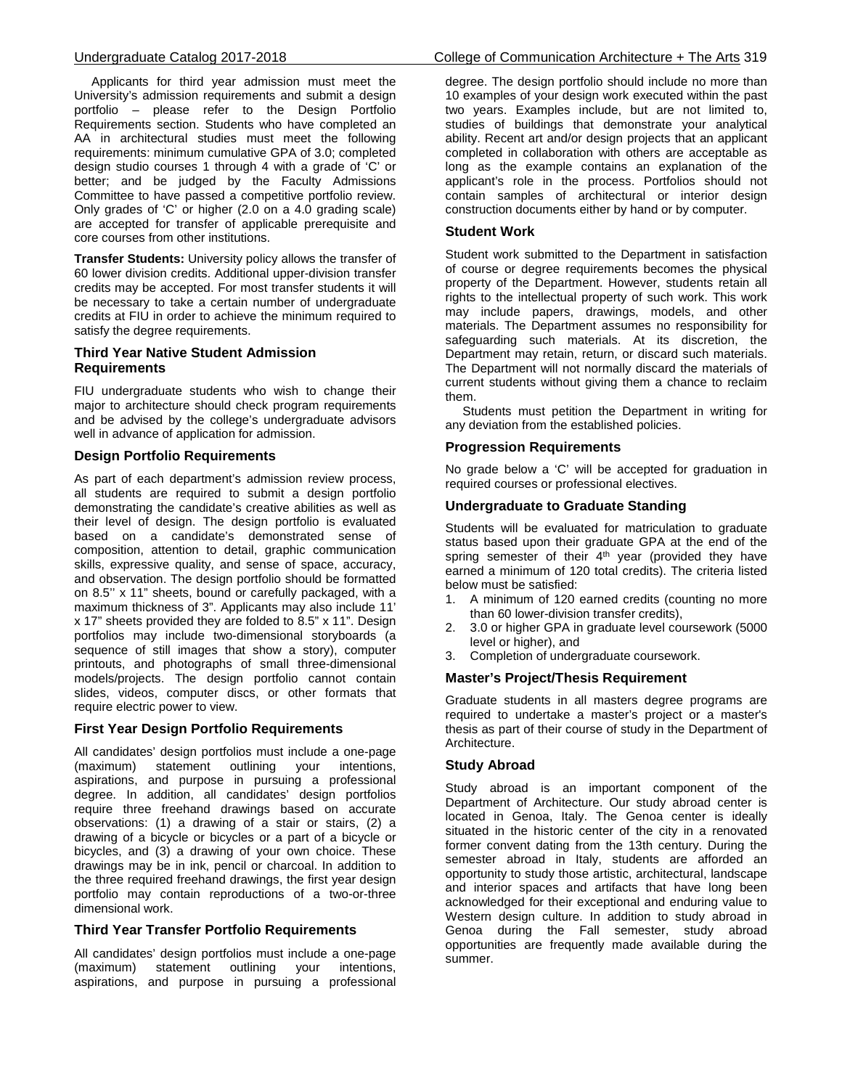Applicants for third year admission must meet the University's admission requirements and submit a design portfolio – please refer to the Design Portfolio Requirements section. Students who have completed an AA in architectural studies must meet the following requirements: minimum cumulative GPA of 3.0; completed design studio courses 1 through 4 with a grade of 'C' or better; and be judged by the Faculty Admissions Committee to have passed a competitive portfolio review. Only grades of 'C' or higher (2.0 on a 4.0 grading scale) are accepted for transfer of applicable prerequisite and core courses from other institutions.

**Transfer Students:** University policy allows the transfer of 60 lower division credits. Additional upper-division transfer credits may be accepted. For most transfer students it will be necessary to take a certain number of undergraduate credits at FIU in order to achieve the minimum required to satisfy the degree requirements.

### **Third Year Native Student Admission Requirements**

FIU undergraduate students who wish to change their major to architecture should check program requirements and be advised by the college's undergraduate advisors well in advance of application for admission.

### **Design Portfolio Requirements**

As part of each department's admission review process, all students are required to submit a design portfolio demonstrating the candidate's creative abilities as well as their level of design. The design portfolio is evaluated based on a candidate's demonstrated sense of composition, attention to detail, graphic communication skills, expressive quality, and sense of space, accuracy, and observation. The design portfolio should be formatted on 8.5'' x 11" sheets, bound or carefully packaged, with a maximum thickness of 3". Applicants may also include 11' x 17" sheets provided they are folded to 8.5" x 11". Design portfolios may include two-dimensional storyboards (a sequence of still images that show a story), computer printouts, and photographs of small three-dimensional models/projects. The design portfolio cannot contain slides, videos, computer discs, or other formats that require electric power to view.

### **First Year Design Portfolio Requirements**

All candidates' design portfolios must include a one-page<br>(maximum) statement outlining your intentions, statement outlining your intentions, aspirations, and purpose in pursuing a professional degree. In addition, all candidates' design portfolios require three freehand drawings based on accurate observations: (1) a drawing of a stair or stairs, (2) a drawing of a bicycle or bicycles or a part of a bicycle or bicycles, and (3) a drawing of your own choice. These drawings may be in ink, pencil or charcoal. In addition to the three required freehand drawings, the first year design portfolio may contain reproductions of a two-or-three dimensional work.

### **Third Year Transfer Portfolio Requirements**

All candidates' design portfolios must include a one-page (maximum) statement outlining your intentions, aspirations, and purpose in pursuing a professional

degree. The design portfolio should include no more than 10 examples of your design work executed within the past two years. Examples include, but are not limited to, studies of buildings that demonstrate your analytical ability. Recent art and/or design projects that an applicant completed in collaboration with others are acceptable as long as the example contains an explanation of the applicant's role in the process. Portfolios should not contain samples of architectural or interior design construction documents either by hand or by computer.

### **Student Work**

Student work submitted to the Department in satisfaction of course or degree requirements becomes the physical property of the Department. However, students retain all rights to the intellectual property of such work. This work may include papers, drawings, models, and other materials. The Department assumes no responsibility for safeguarding such materials. At its discretion, the Department may retain, return, or discard such materials. The Department will not normally discard the materials of current students without giving them a chance to reclaim them.

 Students must petition the Department in writing for any deviation from the established policies.

### **Progression Requirements**

No grade below a 'C' will be accepted for graduation in required courses or professional electives.

### **Undergraduate to Graduate Standing**

Students will be evaluated for matriculation to graduate status based upon their graduate GPA at the end of the spring semester of their 4<sup>th</sup> year (provided they have earned a minimum of 120 total credits). The criteria listed below must be satisfied:<br>1. A minimum of 120

- 1. A minimum of 120 earned credits (counting no more than 60 lower-division transfer credits),
- 2. 3.0 or higher GPA in graduate level coursework (5000 level or higher), and
- 3. Completion of undergraduate coursework.

### **Master's Project/Thesis Requirement**

Graduate students in all masters degree programs are required to undertake a master's project or a master's thesis as part of their course of study in the Department of Architecture.

### **Study Abroad**

Study abroad is an important component of the Department of Architecture. Our study abroad center is located in Genoa, Italy. The Genoa center is ideally situated in the historic center of the city in a renovated former convent dating from the 13th century. During the semester abroad in Italy, students are afforded an opportunity to study those artistic, architectural, landscape and interior spaces and artifacts that have long been acknowledged for their exceptional and enduring value to Western design culture. In addition to study abroad in Genoa during the Fall semester, study abroad opportunities are frequently made available during the summer.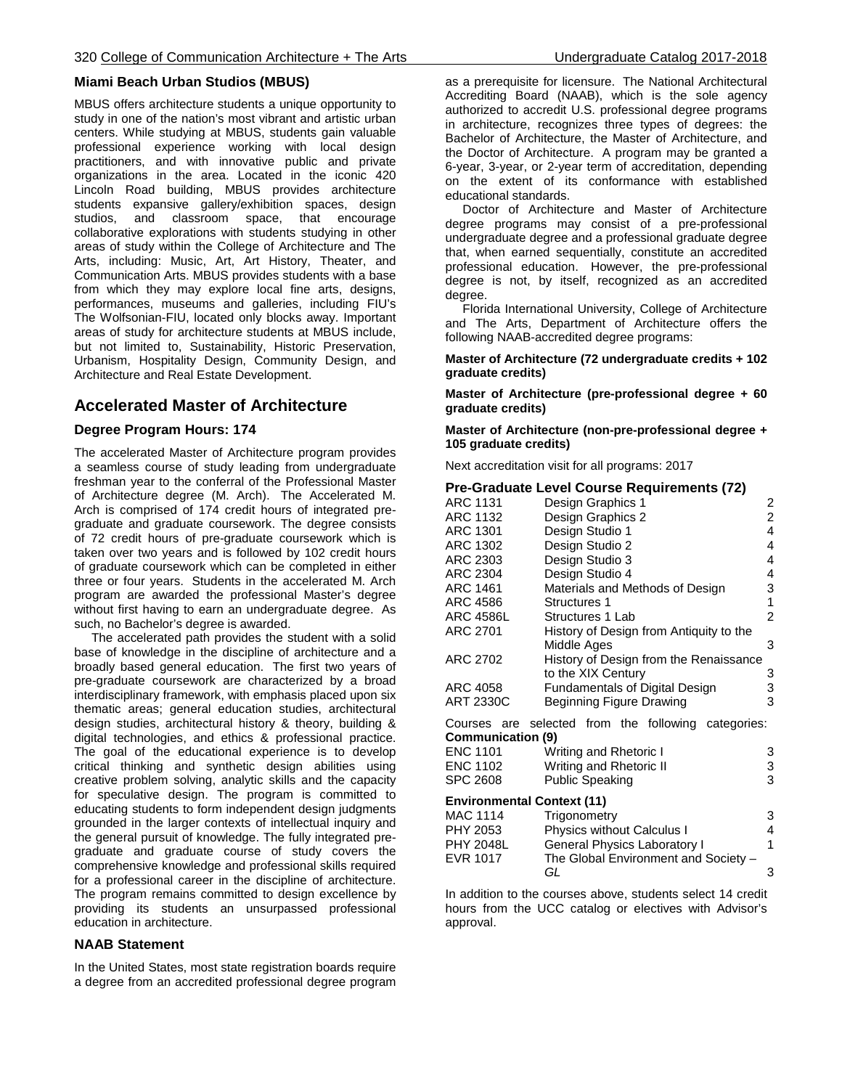### **Miami Beach Urban Studios (MBUS)**

MBUS offers architecture students a unique opportunity to study in one of the nation's most vibrant and artistic urban centers. While studying at MBUS, students gain valuable professional experience working with local design practitioners, and with innovative public and private organizations in the area. Located in the iconic 420 Lincoln Road building, MBUS provides architecture students expansive gallery/exhibition spaces, design studios, and classroom space, that encourage collaborative explorations with students studying in other areas of study within the College of Architecture and The Arts, including: Music, Art, Art History, Theater, and Communication Arts. MBUS provides students with a base from which they may explore local fine arts, designs, performances, museums and galleries, including FIU's The Wolfsonian-FIU, located only blocks away. Important areas of study for architecture students at MBUS include, but not limited to, Sustainability, Historic Preservation, Urbanism, Hospitality Design, Community Design, and Architecture and Real Estate Development.

### **Accelerated Master of Architecture**

### **Degree Program Hours: 174**

The accelerated Master of Architecture program provides a seamless course of study leading from undergraduate freshman year to the conferral of the Professional Master of Architecture degree (M. Arch). The Accelerated M. Arch is comprised of 174 credit hours of integrated pregraduate and graduate coursework. The degree consists of 72 credit hours of pre-graduate coursework which is taken over two years and is followed by 102 credit hours of graduate coursework which can be completed in either three or four years. Students in the accelerated M. Arch program are awarded the professional Master's degree without first having to earn an undergraduate degree. As such, no Bachelor's degree is awarded.

 The accelerated path provides the student with a solid base of knowledge in the discipline of architecture and a broadly based general education. The first two years of pre-graduate coursework are characterized by a broad interdisciplinary framework, with emphasis placed upon six thematic areas; general education studies, architectural design studies, architectural history & theory, building & digital technologies, and ethics & professional practice. The goal of the educational experience is to develop critical thinking and synthetic design abilities using creative problem solving, analytic skills and the capacity for speculative design. The program is committed to educating students to form independent design judgments grounded in the larger contexts of intellectual inquiry and the general pursuit of knowledge. The fully integrated pregraduate and graduate course of study covers the comprehensive knowledge and professional skills required for a professional career in the discipline of architecture. The program remains committed to design excellence by providing its students an unsurpassed professional education in architecture.

### **NAAB Statement**

In the United States, most state registration boards require a degree from an accredited professional degree program as a prerequisite for licensure. The National Architectural Accrediting Board (NAAB), which is the sole agency authorized to accredit U.S. professional degree programs in architecture, recognizes three types of degrees: the Bachelor of Architecture, the Master of Architecture, and the Doctor of Architecture. A program may be granted a 6-year, 3-year, or 2-year term of accreditation, depending on the extent of its conformance with established educational standards.

 Doctor of Architecture and Master of Architecture degree programs may consist of a pre-professional undergraduate degree and a professional graduate degree that, when earned sequentially, constitute an accredited professional education. However, the pre-professional degree is not, by itself, recognized as an accredited degree.

 Florida International University, College of Architecture and The Arts, Department of Architecture offers the following NAAB-accredited degree programs:

**Master of Architecture (72 undergraduate credits + 102 graduate credits)**

**Master of Architecture (pre-professional degree + 60 graduate credits)**

**Master of Architecture (non-pre-professional degree + 105 graduate credits)**

Next accreditation visit for all programs: 2017

|                                   | Pre-Graduate Level Course Requirements (72)         |                |
|-----------------------------------|-----------------------------------------------------|----------------|
| <b>ARC 1131</b>                   | Design Graphics 1                                   | 2              |
| ARC 1132                          | Design Graphics 2                                   | $\overline{2}$ |
| ARC 1301                          | Design Studio 1                                     | 4              |
| ARC 1302                          | Design Studio 2                                     | 4              |
| ARC 2303                          | Design Studio 3                                     | 4              |
| ARC 2304                          | Design Studio 4                                     | 4              |
| ARC 1461                          | Materials and Methods of Design                     | 3              |
| ARC 4586                          | <b>Structures 1</b>                                 | 1              |
| ARC 4586L                         | Structures 1 Lab                                    | $\overline{2}$ |
| ARC 2701                          | History of Design from Antiquity to the             |                |
|                                   | Middle Ages                                         | 3              |
| ARC 2702                          | History of Design from the Renaissance              |                |
|                                   | to the XIX Century                                  | 3              |
| ARC 4058                          | <b>Fundamentals of Digital Design</b>               | 3              |
| <b>ART 2330C</b>                  | Beginning Figure Drawing                            | 3              |
| Communication (9)                 | Courses are selected from the following categories: |                |
| <b>ENC 1101</b>                   | Writing and Rhetoric I                              | 3              |
| <b>ENC 1102</b>                   | Writing and Rhetoric II                             | 3              |
| <b>SPC 2608</b>                   | <b>Public Speaking</b>                              | 3              |
| <b>Environmental Context (11)</b> |                                                     |                |
| <b>MAC 1114</b>                   | Trigonometry                                        | 3              |
| DUV 2052                          | Dhuoigo without Coloulup L                          | Λ              |

| Trigonometry                         | 3 |
|--------------------------------------|---|
| <b>Physics without Calculus I</b>    | 4 |
| <b>General Physics Laboratory I</b>  |   |
| The Global Environment and Society - |   |
| GL                                   |   |
|                                      |   |

In addition to the courses above, students select 14 credit hours from the UCC catalog or electives with Advisor's approval.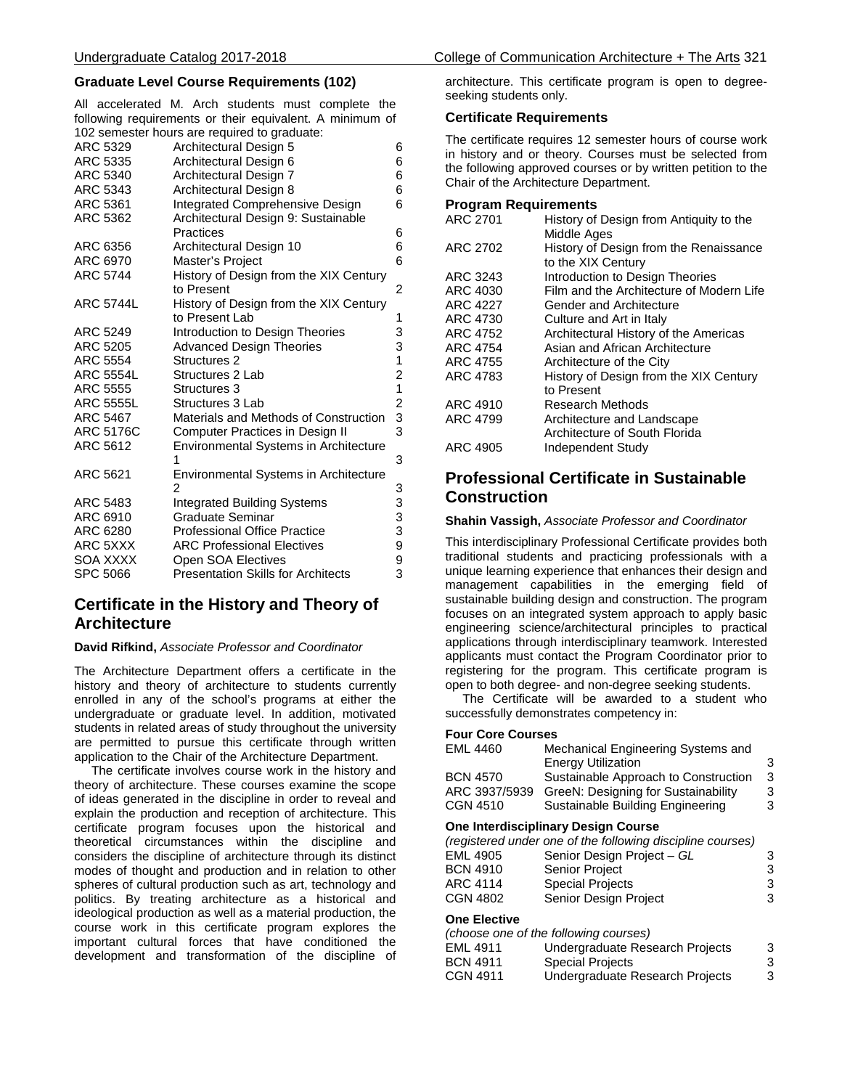### **Graduate Level Course Requirements (102)**

All accelerated M. Arch students must complete the following requirements or their equivalent. A minimum of 102 semester hours are required to graduate:

| ARC 5329         | Architectural Design 5                       | 6              |
|------------------|----------------------------------------------|----------------|
| ARC 5335         | Architectural Design 6                       | 6              |
| ARC 5340         | Architectural Design 7                       | 6              |
| ARC 5343         | Architectural Design 8                       | 6              |
| ARC 5361         | Integrated Comprehensive Design              | 6              |
| ARC 5362         | Architectural Design 9: Sustainable          |                |
|                  | Practices                                    | 6              |
| ARC 6356         | Architectural Design 10                      | 6              |
| ARC 6970         | <b>Master's Project</b>                      | 6              |
| <b>ARC 5744</b>  | History of Design from the XIX Century       |                |
|                  | to Present                                   | 2              |
| <b>ARC 5744L</b> | History of Design from the XIX Century       |                |
|                  | to Present Lab                               | 1              |
| ARC 5249         | Introduction to Design Theories              | 3              |
| <b>ARC 5205</b>  | <b>Advanced Design Theories</b>              | 3              |
| <b>ARC 5554</b>  | Structures 2                                 | 1              |
| <b>ARC 5554L</b> | Structures 2 Lab                             | $\overline{c}$ |
| ARC 5555         | Structures 3                                 | $\overline{1}$ |
| <b>ARC 5555L</b> | Structures 3 Lab                             | $\frac{2}{3}$  |
| ARC 5467         | Materials and Methods of Construction        |                |
| <b>ARC 5176C</b> | Computer Practices in Design II              | 3              |
| ARC 5612         | Environmental Systems in Architecture        |                |
|                  | 1                                            | 3              |
| ARC 5621         | <b>Environmental Systems in Architecture</b> |                |
|                  | $\mathfrak{p}$                               | 3              |
| ARC 5483         | <b>Integrated Building Systems</b>           | 3              |
| ARC 6910         | <b>Graduate Seminar</b>                      | $\frac{3}{3}$  |
| ARC 6280         | <b>Professional Office Practice</b>          |                |
| ARC 5XXX         | <b>ARC Professional Electives</b>            | 9              |
| SOA XXXX         | Open SOA Electives                           | 9<br>3         |
| <b>SPC 5066</b>  | <b>Presentation Skills for Architects</b>    |                |

## **Certificate in the History and Theory of Architecture**

#### **David Rifkind,** *Associate Professor and Coordinator*

The Architecture Department offers a certificate in the history and theory of architecture to students currently enrolled in any of the school's programs at either the undergraduate or graduate level. In addition, motivated students in related areas of study throughout the university are permitted to pursue this certificate through written application to the Chair of the Architecture Department.

 The certificate involves course work in the history and theory of architecture. These courses examine the scope of ideas generated in the discipline in order to reveal and explain the production and reception of architecture. This certificate program focuses upon the historical and theoretical circumstances within the discipline and considers the discipline of architecture through its distinct modes of thought and production and in relation to other spheres of cultural production such as art, technology and politics. By treating architecture as a historical and ideological production as well as a material production, the course work in this certificate program explores the important cultural forces that have conditioned the development and transformation of the discipline of

architecture. This certificate program is open to degreeseeking students only.

### **Certificate Requirements**

The certificate requires 12 semester hours of course work in history and or theory. Courses must be selected from the following approved courses or by written petition to the Chair of the Architecture Department.

#### **Program Requirements**

| ARC 2701        | History of Design from Antiquity to the<br>Middle Ages       |
|-----------------|--------------------------------------------------------------|
| ARC 2702        | History of Design from the Renaissance<br>to the XIX Century |
| ARC 3243        | Introduction to Design Theories                              |
| ARC 4030        | Film and the Architecture of Modern Life                     |
| ARC 4227        | Gender and Architecture                                      |
| ARC 4730        | Culture and Art in Italy                                     |
| ARC 4752        | Architectural History of the Americas                        |
| ARC 4754        | Asian and African Architecture                               |
| <b>ARC 4755</b> | Architecture of the City                                     |
| ARC 4783        | History of Design from the XIX Century                       |
|                 | to Present                                                   |
| ARC 4910        | Research Methods                                             |
| ARC 4799        | Architecture and Landscape                                   |
|                 | Architecture of South Florida                                |
| ARC 4905        | Independent Study                                            |

# **Professional Certificate in Sustainable Construction**

#### **Shahin Vassigh,** *Associate Professor and Coordinator*

This interdisciplinary Professional Certificate provides both traditional students and practicing professionals with a unique learning experience that enhances their design and management capabilities in the emerging field of sustainable building design and construction. The program focuses on an integrated system approach to apply basic engineering science/architectural principles to practical applications through interdisciplinary teamwork. Interested applicants must contact the Program Coordinator prior to registering for the program. This certificate program is open to both degree- and non-degree seeking students.

 The Certificate will be awarded to a student who successfully demonstrates competency in:

#### **Four Core Courses**

| <b>EML 4460</b>                     | Mechanical Engineering Systems and<br><b>Energy Utilization</b> | 3 |  |  |
|-------------------------------------|-----------------------------------------------------------------|---|--|--|
| <b>BCN 4570</b>                     | Sustainable Approach to Construction                            | 3 |  |  |
| ARC 3937/5939                       | GreeN: Designing for Sustainability                             | 3 |  |  |
| <b>CGN 4510</b>                     | Sustainable Building Engineering                                | 3 |  |  |
| One Interdisciplinary Design Course |                                                                 |   |  |  |
|                                     | (registered under one of the following discipline courses)      |   |  |  |
| <b>EML 4905</b>                     | Senior Design Project - GL                                      | 3 |  |  |
| <b>BCN 4910</b>                     | <b>Senior Project</b>                                           | 3 |  |  |
| <b>ARC 4114</b>                     | <b>Special Projects</b>                                         | 3 |  |  |
| <b>CGN 4802</b>                     | Senior Design Project                                           | 3 |  |  |
| <b>One Elective</b>                 |                                                                 |   |  |  |
|                                     | (choose one of the following courses)                           |   |  |  |
| <b>EML 4911</b>                     | Undergraduate Research Projects                                 | 3 |  |  |
| <b>BCN 4911</b>                     | <b>Special Projects</b>                                         | 3 |  |  |
| <b>CGN 4911</b>                     | Undergraduate Research Projects                                 | 3 |  |  |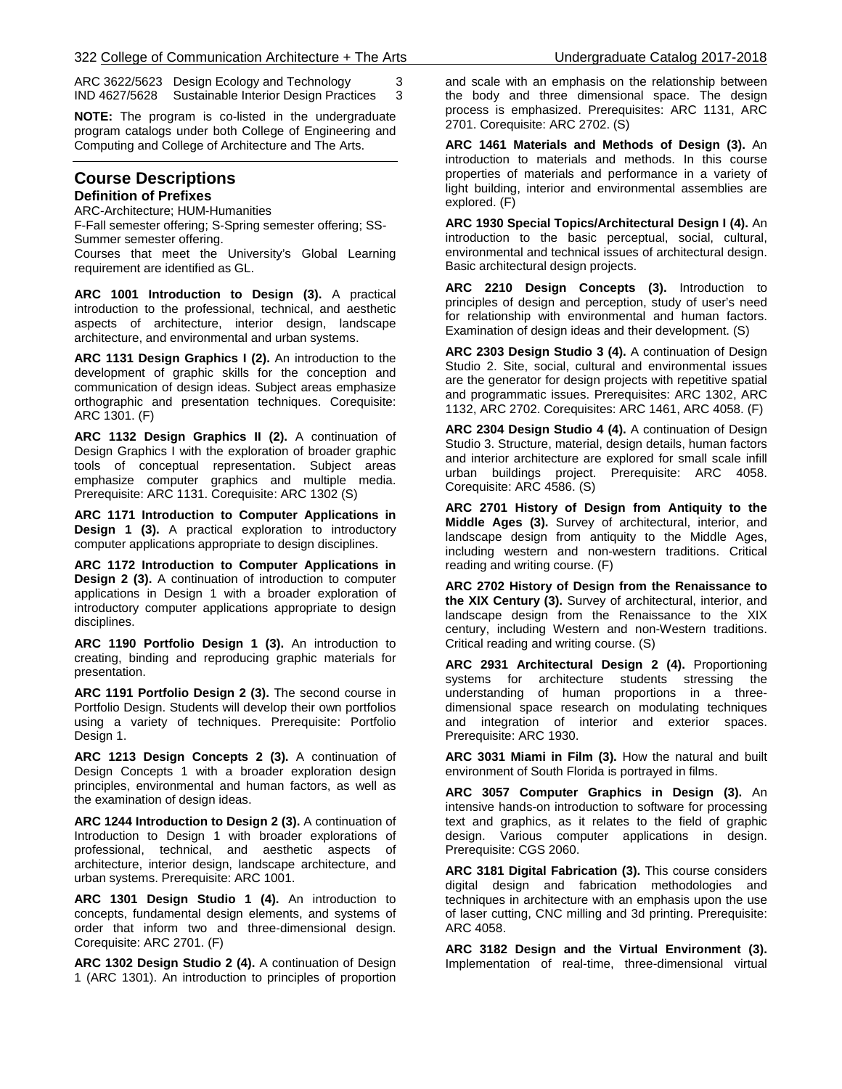ARC 3622/5623 Design Ecology and Technology 3 IND 4627/5628 Sustainable Interior Design Practices 3

**NOTE:** The program is co-listed in the undergraduate program catalogs under both College of Engineering and Computing and College of Architecture and The Arts.

#### **Course Descriptions Definition of Prefixes**

ARC-Architecture; HUM-Humanities

F-Fall semester offering; S-Spring semester offering; SS-Summer semester offering.

Courses that meet the University's Global Learning requirement are identified as GL.

**ARC 1001 Introduction to Design (3).** A practical introduction to the professional, technical, and aesthetic aspects of architecture, interior design, landscape architecture, and environmental and urban systems.

**ARC 1131 Design Graphics I (2).** An introduction to the development of graphic skills for the conception and communication of design ideas. Subject areas emphasize orthographic and presentation techniques. Corequisite: ARC 1301. (F)

**ARC 1132 Design Graphics II (2).** A continuation of Design Graphics I with the exploration of broader graphic tools of conceptual representation. Subject areas emphasize computer graphics and multiple media. Prerequisite: ARC 1131. Corequisite: ARC 1302 (S)

**ARC 1171 Introduction to Computer Applications in Design 1 (3).** A practical exploration to introductory computer applications appropriate to design disciplines.

**ARC 1172 Introduction to Computer Applications in Design 2 (3).** A continuation of introduction to computer applications in Design 1 with a broader exploration of introductory computer applications appropriate to design disciplines.

**ARC 1190 Portfolio Design 1 (3).** An introduction to creating, binding and reproducing graphic materials for presentation.

**ARC 1191 Portfolio Design 2 (3).** The second course in Portfolio Design. Students will develop their own portfolios using a variety of techniques. Prerequisite: Portfolio Design 1.

**ARC 1213 Design Concepts 2 (3).** A continuation of Design Concepts 1 with a broader exploration design principles, environmental and human factors, as well as the examination of design ideas.

**ARC 1244 Introduction to Design 2 (3).** A continuation of Introduction to Design 1 with broader explorations of professional, technical, and aesthetic aspects of architecture, interior design, landscape architecture, and urban systems. Prerequisite: ARC 1001.

**ARC 1301 Design Studio 1 (4).** An introduction to concepts, fundamental design elements, and systems of order that inform two and three-dimensional design. Corequisite: ARC 2701. (F)

**ARC 1302 Design Studio 2 (4).** A continuation of Design 1 (ARC 1301). An introduction to principles of proportion

and scale with an emphasis on the relationship between the body and three dimensional space. The design process is emphasized. Prerequisites: ARC 1131, ARC 2701. Corequisite: ARC 2702. (S)

**ARC 1461 Materials and Methods of Design (3).** An introduction to materials and methods. In this course properties of materials and performance in a variety of light building, interior and environmental assemblies are explored. (F)

**ARC 1930 Special Topics/Architectural Design I (4).** An introduction to the basic perceptual, social, cultural, environmental and technical issues of architectural design. Basic architectural design projects.

**ARC 2210 Design Concepts (3).** Introduction to principles of design and perception, study of user's need for relationship with environmental and human factors. Examination of design ideas and their development. (S)

**ARC 2303 Design Studio 3 (4).** A continuation of Design Studio 2. Site, social, cultural and environmental issues are the generator for design projects with repetitive spatial and programmatic issues. Prerequisites: ARC 1302, ARC 1132, ARC 2702. Corequisites: ARC 1461, ARC 4058. (F)

**ARC 2304 Design Studio 4 (4).** A continuation of Design Studio 3. Structure, material, design details, human factors and interior architecture are explored for small scale infill urban buildings project. Prerequisite: ARC 4058. Corequisite: ARC 4586. (S)

**ARC 2701 History of Design from Antiquity to the Middle Ages (3).** Survey of architectural, interior, and landscape design from antiquity to the Middle Ages, including western and non-western traditions. Critical reading and writing course. (F)

**ARC 2702 History of Design from the Renaissance to the XIX Century (3).** Survey of architectural, interior, and landscape design from the Renaissance to the XIX century, including Western and non-Western traditions. Critical reading and writing course. (S)

**ARC 2931 Architectural Design 2 (4).** Proportioning systems for architecture students stressing the understanding of human proportions in a threedimensional space research on modulating techniques and integration of interior and exterior spaces. Prerequisite: ARC 1930.

**ARC 3031 Miami in Film (3).** How the natural and built environment of South Florida is portrayed in films.

**ARC 3057 Computer Graphics in Design (3).** An intensive hands-on introduction to software for processing text and graphics, as it relates to the field of graphic design. Various computer applications in design. Prerequisite: CGS 2060.

**ARC 3181 Digital Fabrication (3).** This course considers digital design and fabrication methodologies and techniques in architecture with an emphasis upon the use of laser cutting, CNC milling and 3d printing. Prerequisite: ARC 4058.

**ARC 3182 Design and the Virtual Environment (3).** Implementation of real-time, three-dimensional virtual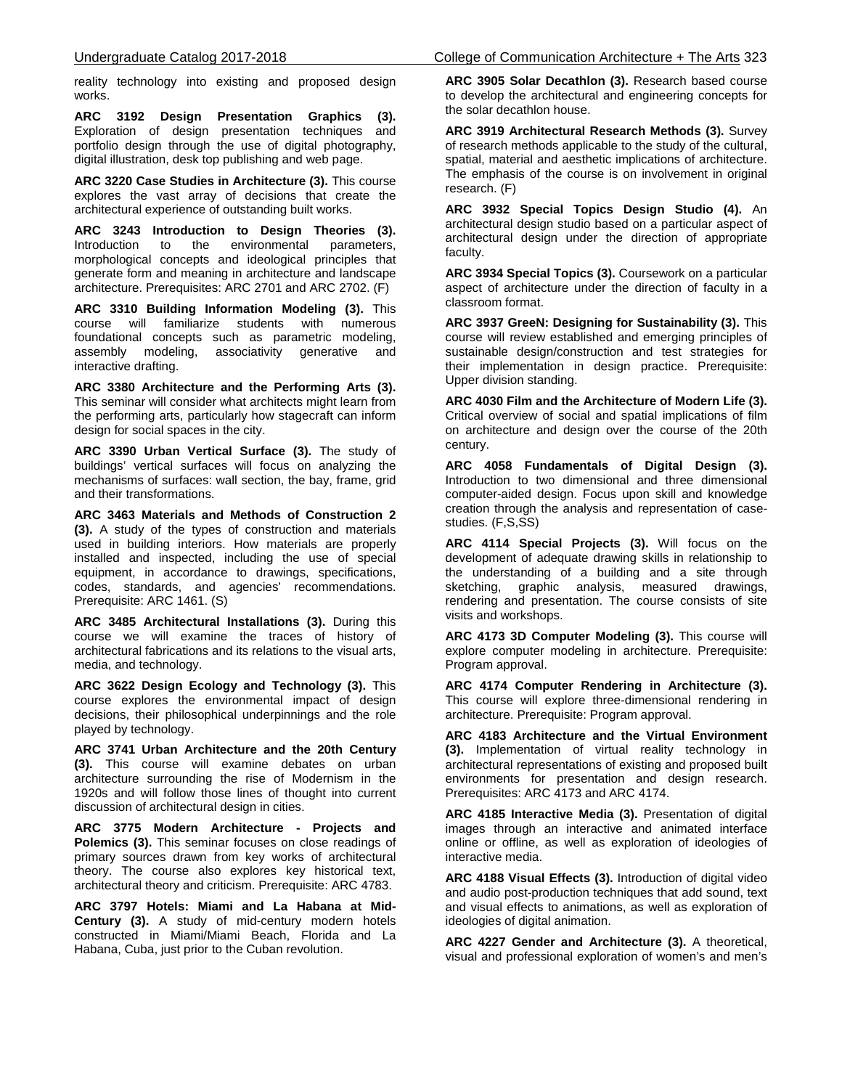reality technology into existing and proposed design works.

**ARC 3192 Design Presentation Graphics (3).** Exploration of design presentation techniques and portfolio design through the use of digital photography, digital illustration, desk top publishing and web page.

**ARC 3220 Case Studies in Architecture (3).** This course explores the vast array of decisions that create the architectural experience of outstanding built works.

**ARC 3243 Introduction to Design Theories (3).**  Introduction to the environmental parameters, morphological concepts and ideological principles that generate form and meaning in architecture and landscape architecture. Prerequisites: ARC 2701 and ARC 2702. (F)

**ARC 3310 Building Information Modeling (3).** This course will familiarize students with numerous foundational concepts such as parametric modeling, assembly modeling, associativity generative and interactive drafting.

**ARC 3380 Architecture and the Performing Arts (3).** This seminar will consider what architects might learn from the performing arts, particularly how stagecraft can inform design for social spaces in the city.

**ARC 3390 Urban Vertical Surface (3).** The study of buildings' vertical surfaces will focus on analyzing the mechanisms of surfaces: wall section, the bay, frame, grid and their transformations.

**ARC 3463 Materials and Methods of Construction 2 (3).** A study of the types of construction and materials used in building interiors. How materials are properly installed and inspected, including the use of special equipment, in accordance to drawings, specifications, codes, standards, and agencies' recommendations. Prerequisite: ARC 1461. (S)

**ARC 3485 Architectural Installations (3).** During this course we will examine the traces of history of architectural fabrications and its relations to the visual arts, media, and technology.

**ARC 3622 Design Ecology and Technology (3).** This course explores the environmental impact of design decisions, their philosophical underpinnings and the role played by technology.

**ARC 3741 Urban Architecture and the 20th Century (3).** This course will examine debates on urban architecture surrounding the rise of Modernism in the 1920s and will follow those lines of thought into current discussion of architectural design in cities.

**ARC 3775 Modern Architecture - Projects and Polemics (3).** This seminar focuses on close readings of primary sources drawn from key works of architectural theory. The course also explores key historical text, architectural theory and criticism. Prerequisite: ARC 4783.

**ARC 3797 Hotels: Miami and La Habana at Mid-Century (3).** A study of mid-century modern hotels constructed in Miami/Miami Beach, Florida and La Habana, Cuba, just prior to the Cuban revolution.

**ARC 3905 Solar Decathlon (3).** Research based course to develop the architectural and engineering concepts for the solar decathlon house.

**ARC 3919 Architectural Research Methods (3).** Survey of research methods applicable to the study of the cultural, spatial, material and aesthetic implications of architecture. The emphasis of the course is on involvement in original research. (F)

**ARC 3932 Special Topics Design Studio (4).** An architectural design studio based on a particular aspect of architectural design under the direction of appropriate faculty.

**ARC 3934 Special Topics (3).** Coursework on a particular aspect of architecture under the direction of faculty in a classroom format.

**ARC 3937 GreeN: Designing for Sustainability (3).** This course will review established and emerging principles of sustainable design/construction and test strategies for their implementation in design practice. Prerequisite: Upper division standing.

**ARC 4030 Film and the Architecture of Modern Life (3).**  Critical overview of social and spatial implications of film on architecture and design over the course of the 20th century.

**ARC 4058 Fundamentals of Digital Design (3).**  Introduction to two dimensional and three dimensional computer-aided design. Focus upon skill and knowledge creation through the analysis and representation of casestudies. (F,S,SS)

**ARC 4114 Special Projects (3).** Will focus on the development of adequate drawing skills in relationship to the understanding of a building and a site through sketching, graphic analysis, measured drawings, rendering and presentation. The course consists of site visits and workshops.

**ARC 4173 3D Computer Modeling (3).** This course will explore computer modeling in architecture. Prerequisite: Program approval.

**ARC 4174 Computer Rendering in Architecture (3).** This course will explore three-dimensional rendering in architecture. Prerequisite: Program approval.

**ARC 4183 Architecture and the Virtual Environment (3).** Implementation of virtual reality technology in architectural representations of existing and proposed built environments for presentation and design research. Prerequisites: ARC 4173 and ARC 4174.

**ARC 4185 Interactive Media (3).** Presentation of digital images through an interactive and animated interface online or offline, as well as exploration of ideologies of interactive media.

**ARC 4188 Visual Effects (3).** Introduction of digital video and audio post-production techniques that add sound, text and visual effects to animations, as well as exploration of ideologies of digital animation.

**ARC 4227 Gender and Architecture (3).** A theoretical, visual and professional exploration of women's and men's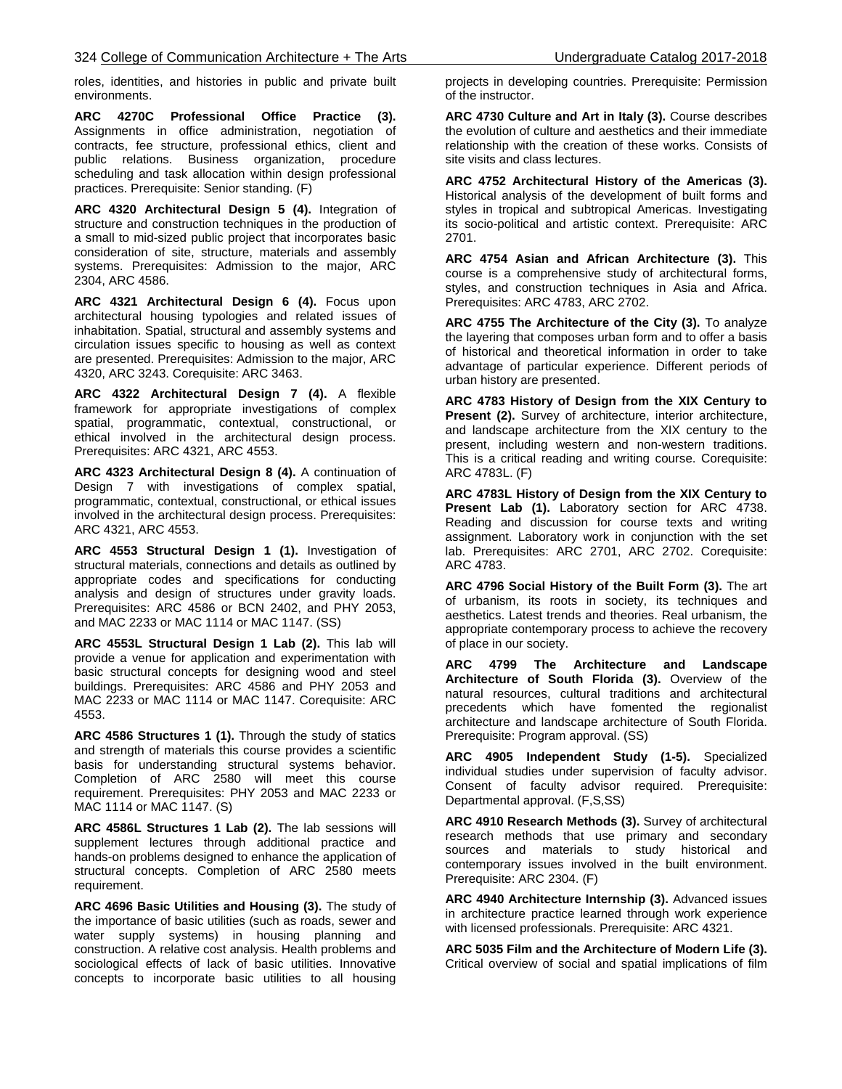roles, identities, and histories in public and private built environments.

**ARC 4270C Professional Office Practice (3).** Assignments in office administration, negotiation of contracts, fee structure, professional ethics, client and public relations. Business organization, procedure scheduling and task allocation within design professional practices. Prerequisite: Senior standing. (F)

**ARC 4320 Architectural Design 5 (4).** Integration of structure and construction techniques in the production of a small to mid-sized public project that incorporates basic consideration of site, structure, materials and assembly systems. Prerequisites: Admission to the major, ARC 2304, ARC 4586.

**ARC 4321 Architectural Design 6 (4).** Focus upon architectural housing typologies and related issues of inhabitation. Spatial, structural and assembly systems and circulation issues specific to housing as well as context are presented. Prerequisites: Admission to the major, ARC 4320, ARC 3243. Corequisite: ARC 3463.

**ARC 4322 Architectural Design 7 (4).** A flexible framework for appropriate investigations of complex spatial, programmatic, contextual, constructional, or ethical involved in the architectural design process. Prerequisites: ARC 4321, ARC 4553.

**ARC 4323 Architectural Design 8 (4).** A continuation of Design 7 with investigations of complex spatial, programmatic, contextual, constructional, or ethical issues involved in the architectural design process. Prerequisites: ARC 4321, ARC 4553.

**ARC 4553 Structural Design 1 (1).** Investigation of structural materials, connections and details as outlined by appropriate codes and specifications for conducting analysis and design of structures under gravity loads. Prerequisites: ARC 4586 or BCN 2402, and PHY 2053, and MAC 2233 or MAC 1114 or MAC 1147. (SS)

**ARC 4553L Structural Design 1 Lab (2).** This lab will provide a venue for application and experimentation with basic structural concepts for designing wood and steel buildings. Prerequisites: ARC 4586 and PHY 2053 and MAC 2233 or MAC 1114 or MAC 1147. Corequisite: ARC 4553.

**ARC 4586 Structures 1 (1).** Through the study of statics and strength of materials this course provides a scientific basis for understanding structural systems behavior. Completion of ARC 2580 will meet this course requirement. Prerequisites: PHY 2053 and MAC 2233 or MAC 1114 or MAC 1147. (S)

**ARC 4586L Structures 1 Lab (2).** The lab sessions will supplement lectures through additional practice and hands-on problems designed to enhance the application of structural concepts. Completion of ARC 2580 meets requirement.

**ARC 4696 Basic Utilities and Housing (3).** The study of the importance of basic utilities (such as roads, sewer and water supply systems) in housing planning and construction. A relative cost analysis. Health problems and sociological effects of lack of basic utilities. Innovative concepts to incorporate basic utilities to all housing

projects in developing countries. Prerequisite: Permission of the instructor.

**ARC 4730 Culture and Art in Italy (3).** Course describes the evolution of culture and aesthetics and their immediate relationship with the creation of these works. Consists of site visits and class lectures.

**ARC 4752 Architectural History of the Americas (3).**  Historical analysis of the development of built forms and styles in tropical and subtropical Americas. Investigating its socio-political and artistic context. Prerequisite: ARC 2701.

**ARC 4754 Asian and African Architecture (3).** This course is a comprehensive study of architectural forms, styles, and construction techniques in Asia and Africa. Prerequisites: ARC 4783, ARC 2702.

**ARC 4755 The Architecture of the City (3).** To analyze the layering that composes urban form and to offer a basis of historical and theoretical information in order to take advantage of particular experience. Different periods of urban history are presented.

**ARC 4783 History of Design from the XIX Century to Present (2).** Survey of architecture, interior architecture, and landscape architecture from the XIX century to the present, including western and non-western traditions. This is a critical reading and writing course. Corequisite: ARC 4783L. (F)

**ARC 4783L History of Design from the XIX Century to Present Lab (1).** Laboratory section for ARC 4738. Reading and discussion for course texts and writing assignment. Laboratory work in conjunction with the set lab. Prerequisites: ARC 2701, ARC 2702. Corequisite: ARC 4783.

**ARC 4796 Social History of the Built Form (3).** The art of urbanism, its roots in society, its techniques and aesthetics. Latest trends and theories. Real urbanism, the appropriate contemporary process to achieve the recovery of place in our society.

**ARC 4799 The Architecture and Landscape Architecture of South Florida (3).** Overview of the natural resources, cultural traditions and architectural precedents which have fomented the regionalist architecture and landscape architecture of South Florida. Prerequisite: Program approval. (SS)

**ARC 4905 Independent Study (1-5).** Specialized individual studies under supervision of faculty advisor. Consent of faculty advisor required. Prerequisite: Departmental approval. (F,S,SS)

**ARC 4910 Research Methods (3).** Survey of architectural research methods that use primary and secondary sources and materials to study historical and contemporary issues involved in the built environment. Prerequisite: ARC 2304. (F)

**ARC 4940 Architecture Internship (3).** Advanced issues in architecture practice learned through work experience with licensed professionals. Prerequisite: ARC 4321.

**ARC 5035 Film and the Architecture of Modern Life (3).**  Critical overview of social and spatial implications of film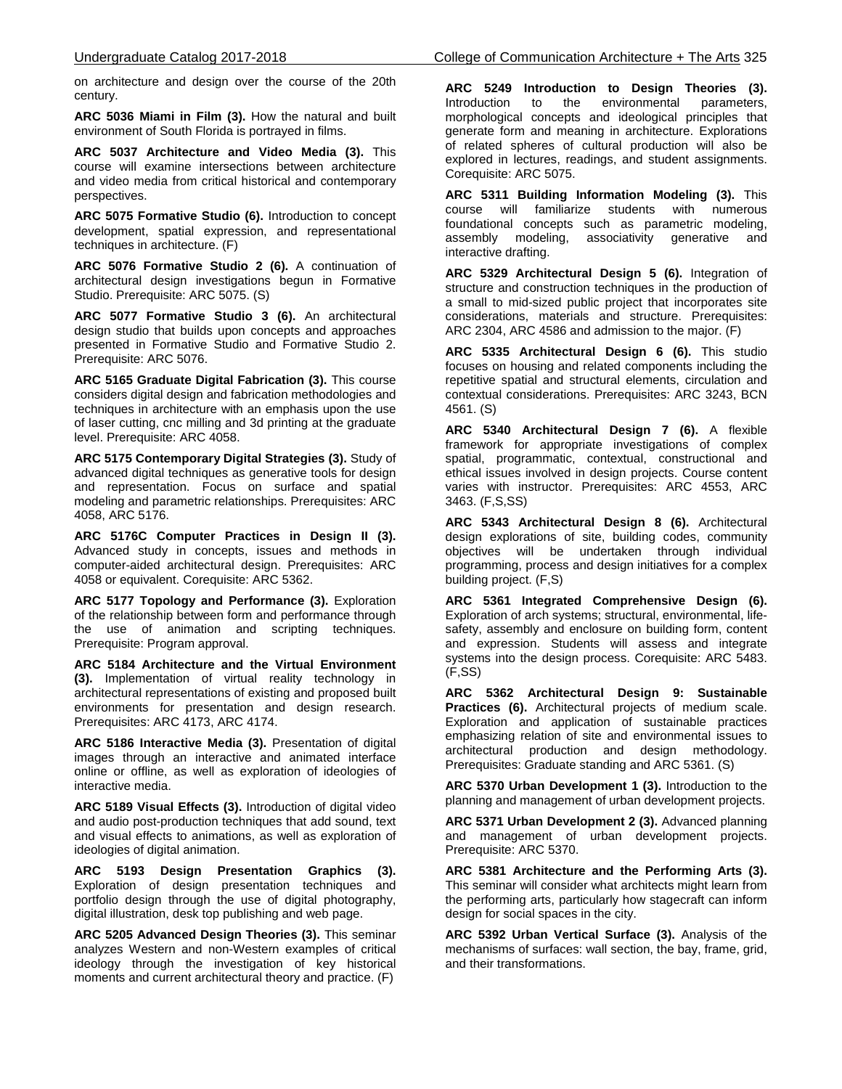on architecture and design over the course of the 20th century.

**ARC 5036 Miami in Film (3).** How the natural and built environment of South Florida is portrayed in films.

**ARC 5037 Architecture and Video Media (3).** This course will examine intersections between architecture and video media from critical historical and contemporary perspectives.

**ARC 5075 Formative Studio (6).** Introduction to concept development, spatial expression, and representational techniques in architecture. (F)

**ARC 5076 Formative Studio 2 (6).** A continuation of architectural design investigations begun in Formative Studio. Prerequisite: ARC 5075. (S)

**ARC 5077 Formative Studio 3 (6).** An architectural design studio that builds upon concepts and approaches presented in Formative Studio and Formative Studio 2. Prerequisite: ARC 5076.

**ARC 5165 Graduate Digital Fabrication (3).** This course considers digital design and fabrication methodologies and techniques in architecture with an emphasis upon the use of laser cutting, cnc milling and 3d printing at the graduate level. Prerequisite: ARC 4058.

**ARC 5175 Contemporary Digital Strategies (3).** Study of advanced digital techniques as generative tools for design and representation. Focus on surface and spatial modeling and parametric relationships. Prerequisites: ARC 4058, ARC 5176.

**ARC 5176C Computer Practices in Design II (3).** Advanced study in concepts, issues and methods in computer-aided architectural design. Prerequisites: ARC 4058 or equivalent. Corequisite: ARC 5362.

**ARC 5177 Topology and Performance (3).** Exploration of the relationship between form and performance through the use of animation and scripting techniques. Prerequisite: Program approval.

**ARC 5184 Architecture and the Virtual Environment (3).** Implementation of virtual reality technology in architectural representations of existing and proposed built environments for presentation and design research. Prerequisites: ARC 4173, ARC 4174.

**ARC 5186 Interactive Media (3).** Presentation of digital images through an interactive and animated interface online or offline, as well as exploration of ideologies of interactive media.

**ARC 5189 Visual Effects (3).** Introduction of digital video and audio post-production techniques that add sound, text and visual effects to animations, as well as exploration of ideologies of digital animation.

**ARC 5193 Design Presentation Graphics (3).**  Exploration of design presentation techniques and portfolio design through the use of digital photography, digital illustration, desk top publishing and web page.

**ARC 5205 Advanced Design Theories (3).** This seminar analyzes Western and non-Western examples of critical ideology through the investigation of key historical moments and current architectural theory and practice. (F)

**ARC 5249 Introduction to Design Theories (3).**  environmental morphological concepts and ideological principles that generate form and meaning in architecture. Explorations of related spheres of cultural production will also be explored in lectures, readings, and student assignments. Corequisite: ARC 5075.

**ARC 5311 Building Information Modeling (3).** This course will familiarize students with numerous foundational concepts such as parametric modeling,<br>assembly modeling, associativity generative and assembly modeling, associativity generative and interactive drafting.

**ARC 5329 Architectural Design 5 (6).** Integration of structure and construction techniques in the production of a small to mid-sized public project that incorporates site considerations, materials and structure. Prerequisites: ARC 2304, ARC 4586 and admission to the major. (F)

**ARC 5335 Architectural Design 6 (6).** This studio focuses on housing and related components including the repetitive spatial and structural elements, circulation and contextual considerations. Prerequisites: ARC 3243, BCN 4561. (S)

**ARC 5340 Architectural Design 7 (6).** A flexible framework for appropriate investigations of complex spatial, programmatic, contextual, constructional and ethical issues involved in design projects. Course content varies with instructor. Prerequisites: ARC 4553, ARC 3463. (F,S,SS)

**ARC 5343 Architectural Design 8 (6).** Architectural design explorations of site, building codes, community objectives will be undertaken through individual programming, process and design initiatives for a complex building project. (F,S)

**ARC 5361 Integrated Comprehensive Design (6).** Exploration of arch systems; structural, environmental, lifesafety, assembly and enclosure on building form, content and expression. Students will assess and integrate systems into the design process. Corequisite: ARC 5483. (F,SS)

**ARC 5362 Architectural Design 9: Sustainable Practices (6).** Architectural projects of medium scale. Exploration and application of sustainable practices emphasizing relation of site and environmental issues to architectural production and design methodology. Prerequisites: Graduate standing and ARC 5361. (S)

**ARC 5370 Urban Development 1 (3).** Introduction to the planning and management of urban development projects.

**ARC 5371 Urban Development 2 (3).** Advanced planning and management of urban development projects. Prerequisite: ARC 5370.

**ARC 5381 Architecture and the Performing Arts (3).** This seminar will consider what architects might learn from the performing arts, particularly how stagecraft can inform design for social spaces in the city.

**ARC 5392 Urban Vertical Surface (3).** Analysis of the mechanisms of surfaces: wall section, the bay, frame, grid, and their transformations.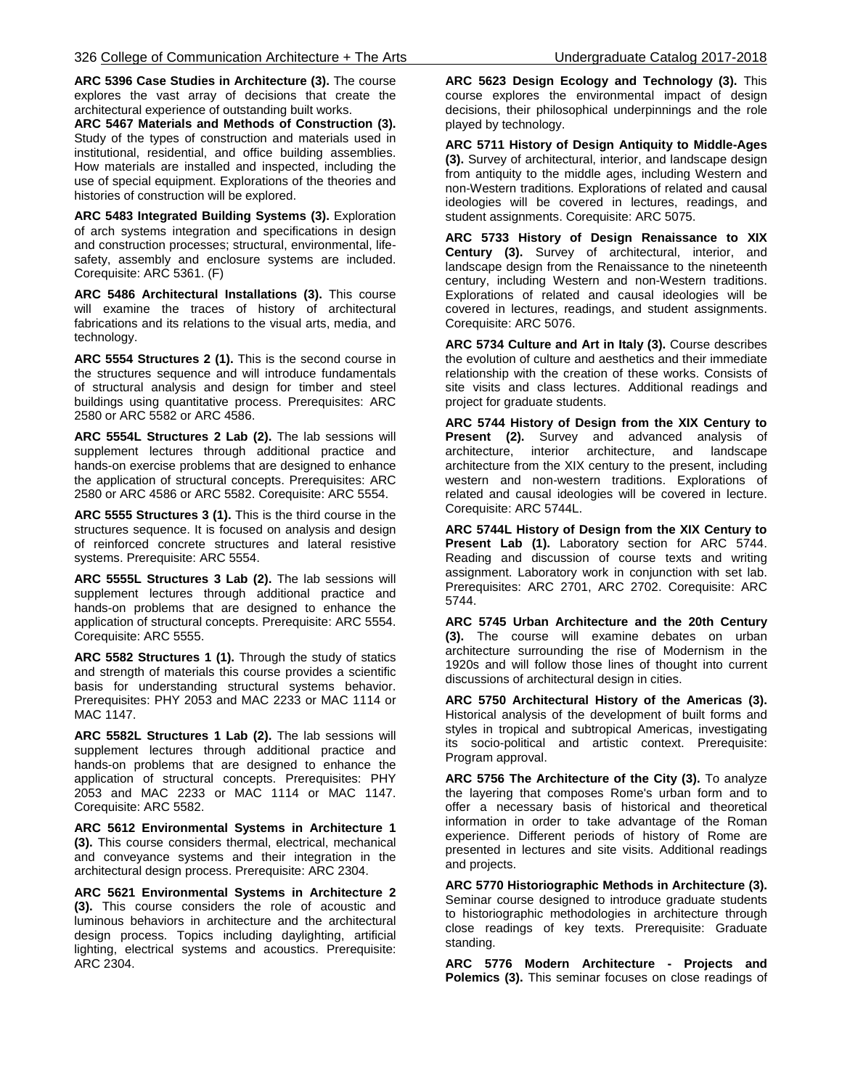**ARC 5396 Case Studies in Architecture (3).** The course explores the vast array of decisions that create the architectural experience of outstanding built works.

**ARC 5467 Materials and Methods of Construction (3).**  Study of the types of construction and materials used in institutional, residential, and office building assemblies. How materials are installed and inspected, including the use of special equipment. Explorations of the theories and histories of construction will be explored.

**ARC 5483 Integrated Building Systems (3).** Exploration of arch systems integration and specifications in design and construction processes; structural, environmental, lifesafety, assembly and enclosure systems are included. Corequisite: ARC 5361. (F)

**ARC 5486 Architectural Installations (3).** This course will examine the traces of history of architectural fabrications and its relations to the visual arts, media, and technology.

**ARC 5554 Structures 2 (1).** This is the second course in the structures sequence and will introduce fundamentals of structural analysis and design for timber and steel buildings using quantitative process. Prerequisites: ARC 2580 or ARC 5582 or ARC 4586.

**ARC 5554L Structures 2 Lab (2).** The lab sessions will supplement lectures through additional practice and hands-on exercise problems that are designed to enhance the application of structural concepts. Prerequisites: ARC 2580 or ARC 4586 or ARC 5582. Corequisite: ARC 5554.

**ARC 5555 Structures 3 (1).** This is the third course in the structures sequence. It is focused on analysis and design of reinforced concrete structures and lateral resistive systems. Prerequisite: ARC 5554.

**ARC 5555L Structures 3 Lab (2).** The lab sessions will supplement lectures through additional practice and hands-on problems that are designed to enhance the application of structural concepts. Prerequisite: ARC 5554. Corequisite: ARC 5555.

**ARC 5582 Structures 1 (1).** Through the study of statics and strength of materials this course provides a scientific basis for understanding structural systems behavior. Prerequisites: PHY 2053 and MAC 2233 or MAC 1114 or MAC 1147.

**ARC 5582L Structures 1 Lab (2).** The lab sessions will supplement lectures through additional practice and hands-on problems that are designed to enhance the application of structural concepts. Prerequisites: PHY 2053 and MAC 2233 or MAC 1114 or MAC 1147. Corequisite: ARC 5582.

**ARC 5612 Environmental Systems in Architecture 1 (3).** This course considers thermal, electrical, mechanical and conveyance systems and their integration in the architectural design process. Prerequisite: ARC 2304.

**ARC 5621 Environmental Systems in Architecture 2 (3).** This course considers the role of acoustic and luminous behaviors in architecture and the architectural design process. Topics including daylighting, artificial lighting, electrical systems and acoustics. Prerequisite: ARC 2304.

**ARC 5623 Design Ecology and Technology (3).** This course explores the environmental impact of design decisions, their philosophical underpinnings and the role played by technology.

**ARC 5711 History of Design Antiquity to Middle-Ages (3).** Survey of architectural, interior, and landscape design from antiquity to the middle ages, including Western and non-Western traditions. Explorations of related and causal ideologies will be covered in lectures, readings, and student assignments. Corequisite: ARC 5075.

**ARC 5733 History of Design Renaissance to XIX Century (3).** Survey of architectural, interior, and landscape design from the Renaissance to the nineteenth century, including Western and non-Western traditions. Explorations of related and causal ideologies will be covered in lectures, readings, and student assignments. Corequisite: ARC 5076.

**ARC 5734 Culture and Art in Italy (3).** Course describes the evolution of culture and aesthetics and their immediate relationship with the creation of these works. Consists of site visits and class lectures. Additional readings and project for graduate students.

**ARC 5744 History of Design from the XIX Century to Present (2).** Survey and advanced analysis of architecture, interior architecture, and landscape architecture from the XIX century to the present, including western and non-western traditions. Explorations of related and causal ideologies will be covered in lecture. Corequisite: ARC 5744L.

**ARC 5744L History of Design from the XIX Century to Present Lab (1).** Laboratory section for ARC 5744. Reading and discussion of course texts and writing assignment. Laboratory work in conjunction with set lab. Prerequisites: ARC 2701, ARC 2702. Corequisite: ARC 5744.

**ARC 5745 Urban Architecture and the 20th Century (3).** The course will examine debates on urban architecture surrounding the rise of Modernism in the 1920s and will follow those lines of thought into current discussions of architectural design in cities.

**ARC 5750 Architectural History of the Americas (3).**  Historical analysis of the development of built forms and styles in tropical and subtropical Americas, investigating its socio-political and artistic context. Prerequisite: Program approval.

**ARC 5756 The Architecture of the City (3).** To analyze the layering that composes Rome's urban form and to offer a necessary basis of historical and theoretical information in order to take advantage of the Roman experience. Different periods of history of Rome are presented in lectures and site visits. Additional readings and projects.

**ARC 5770 Historiographic Methods in Architecture (3).** Seminar course designed to introduce graduate students to historiographic methodologies in architecture through close readings of key texts. Prerequisite: Graduate standing.

**ARC 5776 Modern Architecture - Projects and Polemics (3).** This seminar focuses on close readings of